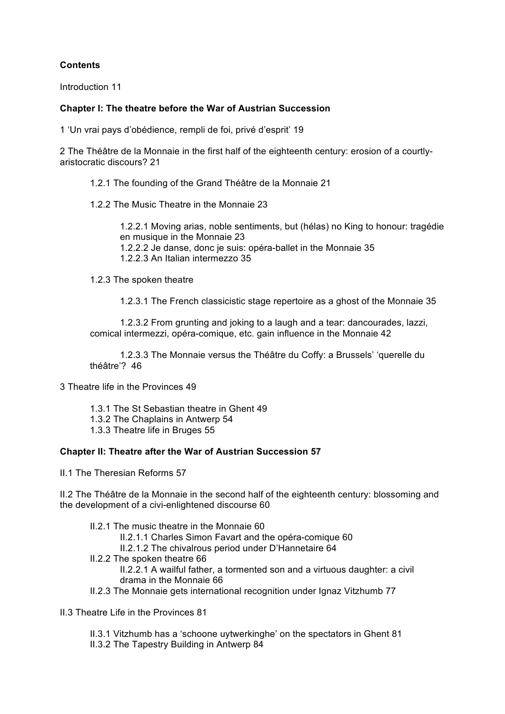## **Contents**

Introduction 11

## **Chapter I: The theatre before the War of Austrian Succession**

1 'Un vrai pays d'obédience, rempli de foi, privé d'esprit' 19

2 The Théâtre de la Monnaie in the first half of the eighteenth century: erosion of a courtlyaristocratic discours? 21

- 1.2.1 The founding of the Grand Théâtre de la Monnaie 21
- 1.2.2 The Music Theatre in the Monnaie 23

1.2.2.1 Moving arias, noble sentiments, but (hélas) no King to honour: tragédie en musique in the Monnaie 23 1.2.2.2 Je danse, donc je suis: opéra-ballet in the Monnaie 35 1.2.2.3 An Italian intermezzo 35

1.2.3 The spoken theatre

1.2.3.1 The French classicistic stage repertoire as a ghost of the Monnaie 35

1.2.3.2 From grunting and joking to a laugh and a tear: dancourades, lazzi, comical intermezzi, opéra-comique, etc. gain influence in the Monnaie 42

1.2.3.3 The Monnaie versus the Théâtre du Coffy: a Brussels' 'querelle du théâtre'? 46

- 3 Theatre life in the Provinces 49
	- 1.3.1 The St Sebastian theatre in Ghent 49
	- 1.3.2 The Chaplains in Antwerp 54
	- 1.3.3 Theatre life in Bruges 55

## **Chapter II: Theatre after the War of Austrian Succession 57**

II.1 The Theresian Reforms 57

II.2 The Théâtre de la Monnaie in the second half of the eighteenth century: blossoming and the development of a civi-enlightened discourse 60

- II.2.1 The music theatre in the Monnaie 60
	- II.2.1.1 Charles Simon Favart and the opéra-comique 60
	- II.2.1.2 The chivalrous period under D'Hannetaire 64
- II.2.2 The spoken theatre 66

II.2.2.1 A wailful father, a tormented son and a virtuous daughter: a civil drama in the Monnaie 66

- II.2.3 The Monnaie gets international recognition under Ignaz Vitzhumb 77
- II.3 Theatre Life in the Provinces 81

II.3.1 Vitzhumb has a 'schoone uytwerkinghe' on the spectators in Ghent 81

II.3.2 The Tapestry Building in Antwerp 84